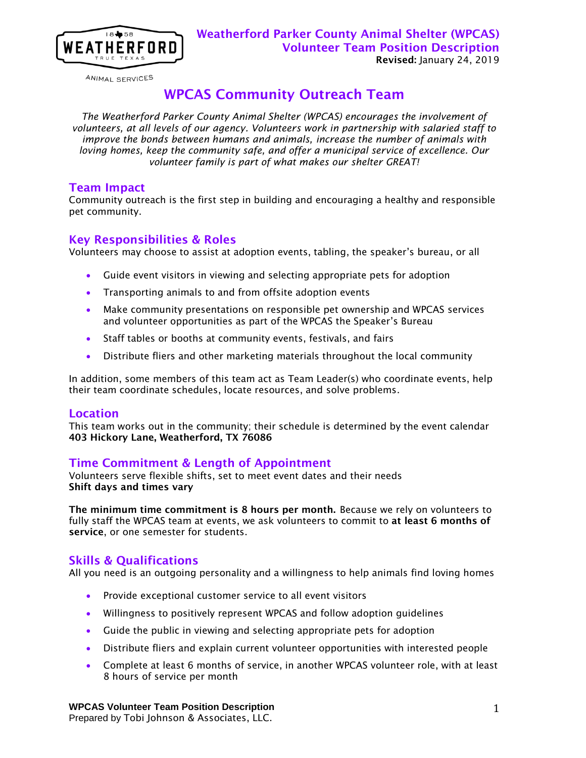

ANIMAL SERVICES

# WPCAS Community Outreach Team

*The Weatherford Parker County Animal Shelter (WPCAS) encourages the involvement of volunteers, at all levels of our agency. Volunteers work in partnership with salaried staff to improve the bonds between humans and animals, increase the number of animals with loving homes, keep the community safe, and offer a municipal service of excellence. Our volunteer family is part of what makes our shelter GREAT!*

#### Team Impact

Community outreach is the first step in building and encouraging a healthy and responsible pet community.

### Key Responsibilities & Roles

Volunteers may choose to assist at adoption events, tabling, the speaker's bureau, or all

- Guide event visitors in viewing and selecting appropriate pets for adoption
- **•** Transporting animals to and from offsite adoption events
- Make community presentations on responsible pet ownership and WPCAS services and volunteer opportunities as part of the WPCAS the Speaker's Bureau
- Staff tables or booths at community events, festivals, and fairs
- Distribute fliers and other marketing materials throughout the local community

In addition, some members of this team act as Team Leader(s) who coordinate events, help their team coordinate schedules, locate resources, and solve problems.

#### **Location**

This team works out in the community; their schedule is determined by the event calendar 403 Hickory Lane, Weatherford, TX 76086

# Time Commitment & Length of Appointment

Volunteers serve flexible shifts, set to meet event dates and their needs Shift days and times vary

The minimum time commitment is 8 hours per month. Because we rely on volunteers to fully staff the WPCAS team at events, we ask volunteers to commit to at least 6 months of service, or one semester for students.

# Skills & Qualifications

All you need is an outgoing personality and a willingness to help animals find loving homes

- **•** Provide exceptional customer service to all event visitors
- Willingness to positively represent WPCAS and follow adoption guidelines
- Guide the public in viewing and selecting appropriate pets for adoption
- Distribute fliers and explain current volunteer opportunities with interested people
- Complete at least 6 months of service, in another WPCAS volunteer role, with at least 8 hours of service per month

**WPCAS Volunteer Team Position Description**  Prepared by Tobi Johnson & Associates, LLC.